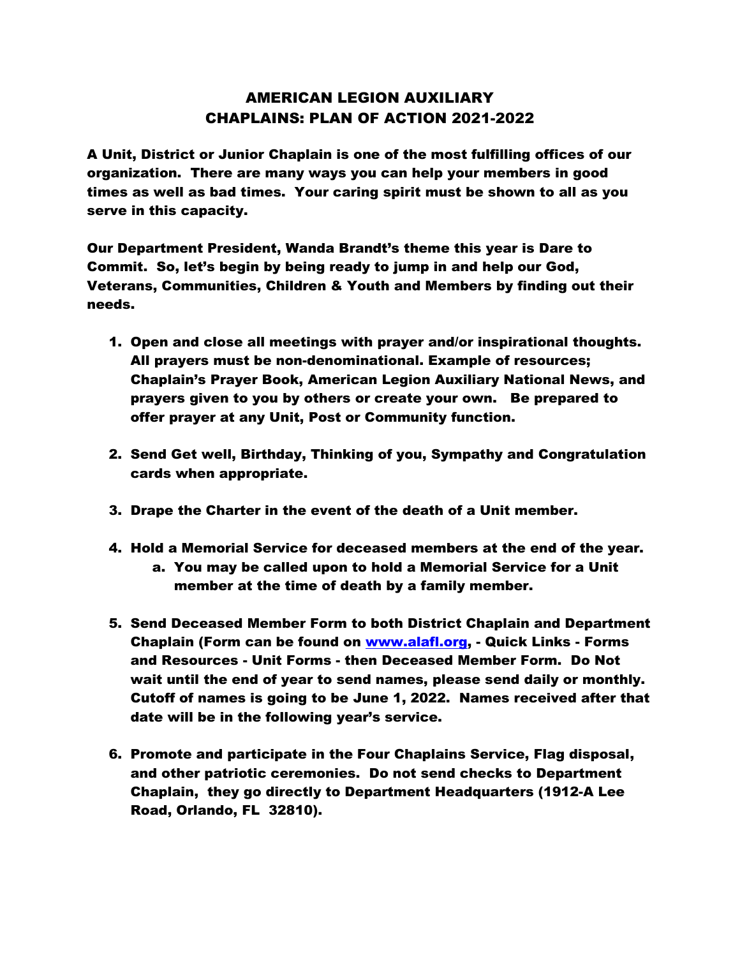## AMERICAN LEGION AUXILIARY CHAPLAINS: PLAN OF ACTION 2021-2022

A Unit, District or Junior Chaplain is one of the most fulfilling offices of our organization. There are many ways you can help your members in good times as well as bad times. Your caring spirit must be shown to all as you serve in this capacity.

Our Department President, Wanda Brandt's theme this year is Dare to Commit. So, let's begin by being ready to jump in and help our God, Veterans, Communities, Children & Youth and Members by finding out their needs.

- 1. Open and close all meetings with prayer and/or inspirational thoughts. All prayers must be non-denominational. Example of resources; Chaplain's Prayer Book, American Legion Auxiliary National News, and prayers given to you by others or create your own. Be prepared to offer prayer at any Unit, Post or Community function.
- 2. Send Get well, Birthday, Thinking of you, Sympathy and Congratulation cards when appropriate.
- 3. Drape the Charter in the event of the death of a Unit member.
- 4. Hold a Memorial Service for deceased members at the end of the year. a. You may be called upon to hold a Memorial Service for a Unit member at the time of death by a family member.
- 5. Send Deceased Member Form to both District Chaplain and Department Chaplain (Form can be found on [www.alafl.org,](http://www.alafl.org/) - Quick Links - Forms and Resources - Unit Forms - then Deceased Member Form. Do Not wait until the end of year to send names, please send daily or monthly. Cutoff of names is going to be June 1, 2022. Names received after that date will be in the following year's service.
- 6. Promote and participate in the Four Chaplains Service, Flag disposal, and other patriotic ceremonies. Do not send checks to Department Chaplain, they go directly to Department Headquarters (1912-A Lee Road, Orlando, FL 32810).